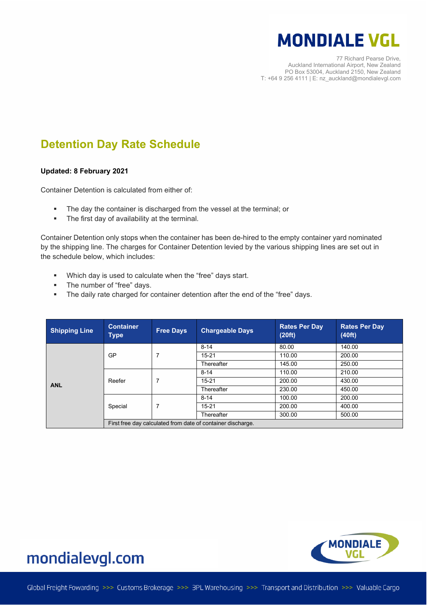77 Richard Pearse Drive, Auckland International Airport, New Zealand PO Box 53004, Auckland 2150, New Zealand T: +64 9 256 4111 | E: nz\_auckland@mondialevgl.com

#### **Detention Day Rate Schedule**

#### **Updated: 8 February 2021**

Container Detention is calculated from either of:

- The day the container is discharged from the vessel at the terminal; or
- The first day of availability at the terminal.

Container Detention only stops when the container has been de-hired to the empty container yard nominated by the shipping line. The charges for Container Detention levied by the various shipping lines are set out in the schedule below, which includes:

- Which day is used to calculate when the "free" days start.
- **Fig.** The number of "free" days.
- The daily rate charged for container detention after the end of the "free" days.

| <b>Shipping Line</b> | <b>Container</b><br><b>Type</b>                             | <b>Free Days</b> | <b>Chargeable Days</b> | <b>Rates Per Day</b><br>(20ft) | <b>Rates Per Day</b><br>(40ft) |  |
|----------------------|-------------------------------------------------------------|------------------|------------------------|--------------------------------|--------------------------------|--|
|                      |                                                             |                  | $8 - 14$               | 80.00                          | 140.00                         |  |
|                      | GP                                                          | 7                | $15 - 21$              | 110.00                         | 200.00                         |  |
|                      |                                                             |                  | Thereafter             | 145.00                         | 250.00                         |  |
|                      | Reefer                                                      | 7                | $8 - 14$               | 110.00                         | 210.00                         |  |
| <b>ANL</b>           |                                                             |                  | $15 - 21$              | 200.00                         | 430.00                         |  |
|                      |                                                             |                  | Thereafter             | 230.00                         | 450.00                         |  |
|                      | Special                                                     | 7                | $8 - 14$               | 100.00                         | 200.00                         |  |
|                      |                                                             |                  | $15 - 21$              | 200.00                         | 400.00                         |  |
|                      |                                                             |                  | Thereafter             | 300.00                         | 500.00                         |  |
|                      | First free day calculated from date of container discharge. |                  |                        |                                |                                |  |

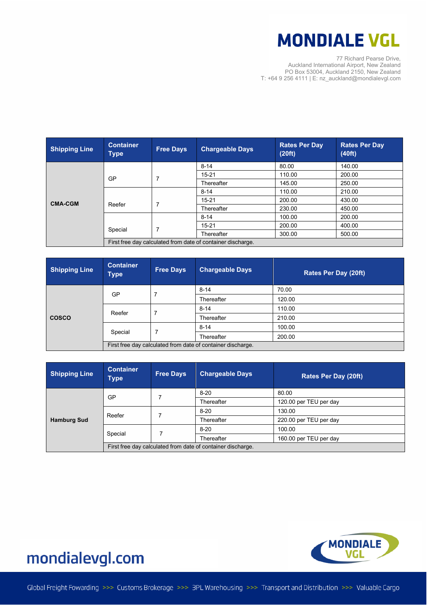77 Richard Pearse Drive, Auckland International Airport, New Zealand PO Box 53004, Auckland 2150, New Zealand T: +64 9 256 4111 | E: nz\_auckland@mondialevgl.com

| <b>Shipping Line</b> | <b>Container</b><br><b>Type</b>                             | <b>Free Days</b> | <b>Chargeable Days</b> | <b>Rates Per Day</b><br>(20ft) | <b>Rates Per Day</b><br>(40ft) |  |
|----------------------|-------------------------------------------------------------|------------------|------------------------|--------------------------------|--------------------------------|--|
|                      |                                                             |                  | $8 - 14$               | 80.00                          | 140.00                         |  |
|                      | <b>GP</b>                                                   |                  | $15 - 21$              | 110.00                         | 200.00                         |  |
|                      |                                                             |                  | Thereafter             | 145.00                         | 250.00                         |  |
|                      |                                                             |                  | $8 - 14$               | 110.00                         | 210.00                         |  |
| <b>CMA-CGM</b>       | Reefer                                                      |                  | $15 - 21$              | 200.00                         | 430.00                         |  |
|                      |                                                             |                  | Thereafter             | 230.00                         | 450.00                         |  |
|                      |                                                             |                  | $8 - 14$               | 100.00                         | 200.00                         |  |
|                      |                                                             |                  | $15 - 21$              | 200.00                         | 400.00                         |  |
|                      | Special                                                     |                  | Thereafter             | 300.00                         | 500.00                         |  |
|                      | First free day calculated from date of container discharge. |                  |                        |                                |                                |  |

| <b>Shipping Line</b> | <b>Container</b><br><b>Type</b>                             | <b>Free Days</b> | <b>Chargeable Days</b> | Rates Per Day (20ft) |  |
|----------------------|-------------------------------------------------------------|------------------|------------------------|----------------------|--|
|                      | GP                                                          | 7                | $8 - 14$               | 70.00                |  |
|                      |                                                             |                  | Thereafter             | 120.00               |  |
|                      | Reefer                                                      |                  | $8 - 14$               | 110.00               |  |
| <b>COSCO</b>         |                                                             |                  | Thereafter             | 210.00               |  |
|                      | Special                                                     |                  | $8 - 14$               | 100.00               |  |
|                      |                                                             |                  | Thereafter             | 200.00               |  |
|                      | First free day calculated from date of container discharge. |                  |                        |                      |  |

| <b>Shipping Line</b> | <b>Container</b><br>Type                                    | <b>Free Days</b> | <b>Chargeable Days</b> | <b>Rates Per Day (20ft)</b> |
|----------------------|-------------------------------------------------------------|------------------|------------------------|-----------------------------|
|                      | GP                                                          |                  | $8 - 20$               | 80.00                       |
| <b>Hamburg Sud</b>   |                                                             |                  | Thereafter             | 120.00 per TEU per day      |
|                      | Reefer                                                      |                  | $8 - 20$               | 130.00                      |
|                      |                                                             |                  | Thereafter             | 220.00 per TEU per day      |
|                      | Special                                                     |                  | $8 - 20$               | 100.00                      |
|                      |                                                             |                  | Thereafter             | 160.00 per TEU per day      |
|                      | First free day calculated from date of container discharge. |                  |                        |                             |

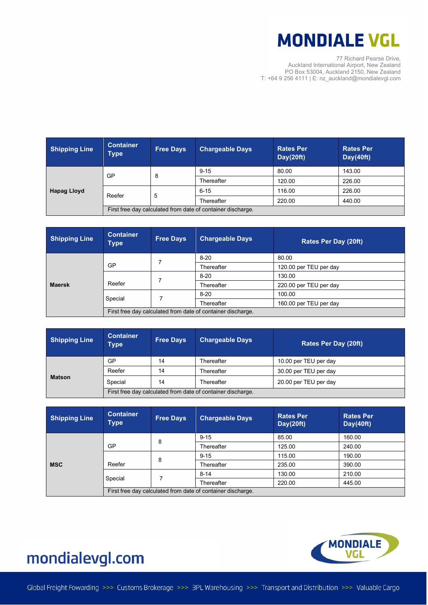77 Richard Pearse Drive, Auckland International Airport, New Zealand PO Box 53004, Auckland 2150, New Zealand T: +64 9 256 4111 | E: nz\_auckland@mondialevgl.com

| <b>Shipping Line</b> | <b>Container</b><br><b>Type</b>                             | <b>Free Days</b> | <b>Chargeable Days</b> | <b>Rates Per</b><br>Day(20ft) | <b>Rates Per</b><br>Day(40ft) |
|----------------------|-------------------------------------------------------------|------------------|------------------------|-------------------------------|-------------------------------|
| <b>Hapag Lloyd</b>   | GP                                                          | 8                | $9 - 15$               | 80.00                         | 143.00                        |
|                      |                                                             |                  | Thereafter             | 120.00                        | 226.00                        |
|                      | Reefer                                                      | 5                | $6 - 15$               | 116.00                        | 226.00                        |
|                      |                                                             |                  | Thereafter             | 220.00                        | 440.00                        |
|                      | First free day calculated from date of container discharge. |                  |                        |                               |                               |

| <b>Shipping Line</b> | <b>Container</b><br><b>Type</b>                             | <b>Free Days</b> | <b>Chargeable Days</b> | <b>Rates Per Day (20ft)</b> |
|----------------------|-------------------------------------------------------------|------------------|------------------------|-----------------------------|
|                      |                                                             |                  | $8 - 20$               | 80.00                       |
|                      | GP                                                          |                  | Thereafter             | 120.00 per TEU per day      |
|                      | Reefer                                                      |                  | $8 - 20$               | 130.00                      |
| <b>Maersk</b>        |                                                             |                  | Thereafter             | 220.00 per TEU per day      |
|                      | Special                                                     |                  | $8-20$                 | 100.00                      |
|                      |                                                             |                  | Thereafter             | 160.00 per TEU per day      |
|                      | First free day calculated from date of container discharge. |                  |                        |                             |

| <b>Shipping Line</b> | <b>Container</b><br>Type                                    | <b>Free Days</b> | <b>Chargeable Days</b> | <b>Rates Per Day (20ft)</b> |
|----------------------|-------------------------------------------------------------|------------------|------------------------|-----------------------------|
| <b>Matson</b>        | <b>GP</b>                                                   | 14               | Thereafter             | 10.00 per TEU per day       |
|                      | Reefer                                                      | 14               | Thereafter             | 30.00 per TEU per day       |
|                      | Special                                                     | 14               | Thereafter             | 20.00 per TEU per day       |
|                      | First free day calculated from date of container discharge. |                  |                        |                             |

| <b>Shipping Line</b> | <b>Container</b><br>Type                                    | <b>Free Days</b> | <b>Chargeable Days</b> | <b>Rates Per</b><br>Day(20ft) | <b>Rates Per</b><br>Day(40ft) |  |
|----------------------|-------------------------------------------------------------|------------------|------------------------|-------------------------------|-------------------------------|--|
| <b>MSC</b>           |                                                             | 8                | $9 - 15$               | 85.00                         | 160.00                        |  |
|                      | GP                                                          |                  | Thereafter             | 125.00                        | 240.00                        |  |
|                      |                                                             | 8                | $9 - 15$               | 115.00                        | 190.00                        |  |
|                      | Reefer                                                      |                  | Thereafter             | 235.00                        | 390.00                        |  |
|                      | Special                                                     |                  | $8 - 14$               | 130.00                        | 210.00                        |  |
|                      |                                                             |                  | Thereafter             | 220.00                        | 445.00                        |  |
|                      | First free day calculated from date of container discharge. |                  |                        |                               |                               |  |

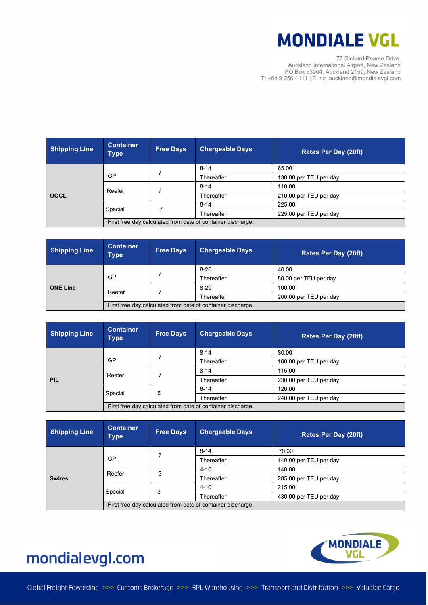77 Richard Pearse Drive, Auckland International Airport, New Zealand PO Box 53004, Auckland 2150, New Zealand T: +64 9 256 4111 | E: nz\_auckland@mondialevgl.com

| <b>Shipping Line</b> | <b>Container</b><br><b>Type</b>                             | <b>Free Days</b> | <b>Chargeable Days</b> | Rates Per Day (20ft)   |  |
|----------------------|-------------------------------------------------------------|------------------|------------------------|------------------------|--|
| <b>OOCL</b>          |                                                             |                  | $8 - 14$               | 65.00                  |  |
|                      | GP                                                          |                  | Thereafter             | 130.00 per TEU per day |  |
|                      | Reefer                                                      |                  | $8 - 14$               | 110.00                 |  |
|                      |                                                             |                  | Thereafter             | 210.00 per TEU per day |  |
|                      | Special                                                     |                  | $8 - 14$               | 225.00                 |  |
|                      |                                                             |                  | Thereafter             | 225.00 per TEU per day |  |
|                      | First free day calculated from date of container discharge. |                  |                        |                        |  |

| <b>Shipping Line</b> | <b>Container</b><br>Type                                    | <b>Free Days</b> | <b>Chargeable Days</b> | <b>Rates Per Day (20ft)</b> |  |
|----------------------|-------------------------------------------------------------|------------------|------------------------|-----------------------------|--|
| <b>ONE Line</b>      |                                                             |                  | $8-20$                 | 40.00                       |  |
|                      | GP                                                          |                  | Thereafter             | 80.00 per TEU per day       |  |
|                      | Reefer                                                      |                  | $8 - 20$               | 100.00                      |  |
|                      |                                                             |                  | Thereafter             | 200.00 per TEU per day      |  |
|                      | First free day calculated from date of container discharge. |                  |                        |                             |  |

| <b>Shipping Line</b> | <b>Container</b><br>Type                                    | <b>Free Days</b> | <b>Chargeable Days</b> | <b>Rates Per Day (20ft)</b> |  |
|----------------------|-------------------------------------------------------------|------------------|------------------------|-----------------------------|--|
| <b>PIL</b>           |                                                             |                  | $8 - 14$               | 80.00                       |  |
|                      | GP                                                          |                  | Thereafter             | 160.00 per TEU per day      |  |
|                      | Reefer                                                      |                  | $8 - 14$               | 115.00                      |  |
|                      |                                                             |                  | Thereafter             | 230.00 per TEU per day      |  |
|                      | Special                                                     | 5                | $6 - 14$               | 120.00                      |  |
|                      |                                                             |                  | Thereafter             | 240.00 per TEU per day      |  |
|                      | First free day calculated from date of container discharge. |                  |                        |                             |  |

| <b>Shipping Line</b> | <b>Container</b><br>Type                                    | <b>Free Days</b> | <b>Chargeable Days</b> | <b>Rates Per Day (20ft)</b> |  |
|----------------------|-------------------------------------------------------------|------------------|------------------------|-----------------------------|--|
|                      |                                                             |                  | $8 - 14$               | 70.00                       |  |
| <b>Swires</b>        | GP                                                          |                  | Thereafter             | 140.00 per TEU per day      |  |
|                      | Reefer                                                      | 3                | $4 - 10$               | 140.00                      |  |
|                      |                                                             |                  | Thereafter             | 285.00 per TEU per day      |  |
|                      | Special                                                     | 3                | $4 - 10$               | 215.00                      |  |
|                      |                                                             |                  | Thereafter             | 430.00 per TEU per day      |  |
|                      | First free day calculated from date of container discharge. |                  |                        |                             |  |